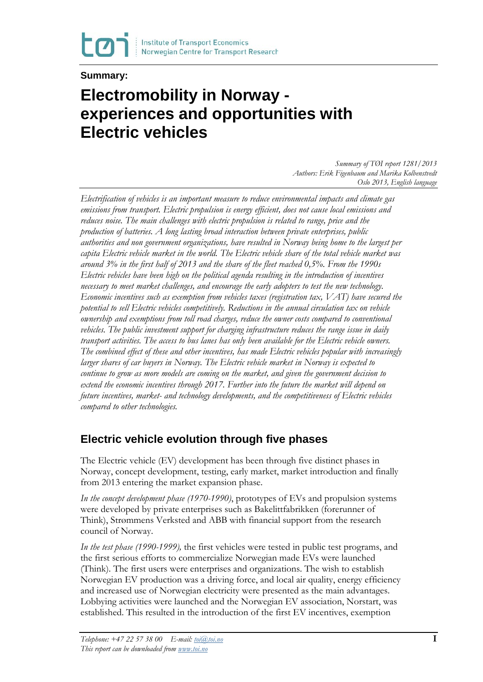

#### **Summary:**

# **Electromobility in Norway experiences and opportunities with Electric vehicles**

*Summary of TØI report 1281/2013 Authors: Erik Figenbaum and Marika Kolbenstvedt Oslo 2013, English language*

*Electrification of vehicles is an important measure to reduce environmental impacts and climate gas emissions from transport. Electric propulsion is energy efficient, does not cause local emissions and reduces noise. The main challenges with electric propulsion is related to range, price and the production of batteries. A long lasting broad interaction between private enterprises, public authorities and non government organizations, have resulted in Norway being home to the largest per capita Electric vehicle market in the world. The Electric vehicle share of the total vehicle market was around 3% in the first half of 2013 and the share of the fleet reached 0,5%. From the 1990s Electric vehicles have been high on the political agenda resulting in the introduction of incentives necessary to meet market challenges, and encourage the early adopters to test the new technology. Economic incentives such as exemption from vehicles taxes (registration tax, VAT) have secured the potential to sell Electric vehicles competitively. Reductions in the annual circulation tax on vehicle ownership and exemptions from toll road charges, reduce the owner costs compared to conventional vehicles. The public investment support for charging infrastructure reduces the range issue in daily transport activities. The access to bus lanes has only been available for the Electric vehicle owners. The combined effect of these and other incentives, has made Electric vehicles popular with increasingly larger shares of car buyers in Norway. The Electric vehicle market in Norway is expected to continue to grow as more models are coming on the market, and given the government decision to extend the economic incentives through 2017. Further into the future the market will depend on future incentives, market- and technology developments, and the competitiveness of Electric vehicles compared to other technologies.*

# **Electric vehicle evolution through five phases**

The Electric vehicle (EV) development has been through five distinct phases in Norway, concept development, testing, early market, market introduction and finally from 2013 entering the market expansion phase.

*In the concept development phase (1970-1990)*, prototypes of EVs and propulsion systems were developed by private enterprises such as Bakelittfabrikken (forerunner of Think), Strømmens Verksted and ABB with financial support from the research council of Norway.

*In the test phase (1990-1999),* the first vehicles were tested in public test programs, and the first serious efforts to commercialize Norwegian made EVs were launched (Think). The first users were enterprises and organizations. The wish to establish Norwegian EV production was a driving force, and local air quality, energy efficiency and increased use of Norwegian electricity were presented as the main advantages. Lobbying activities were launched and the Norwegian EV association, Norstart, was established. This resulted in the introduction of the first EV incentives, exemption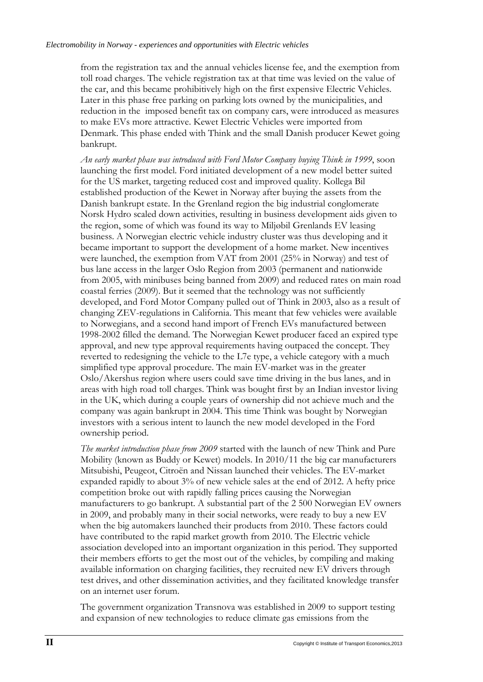from the registration tax and the annual vehicles license fee, and the exemption from toll road charges. The vehicle registration tax at that time was levied on the value of the car, and this became prohibitively high on the first expensive Electric Vehicles. Later in this phase free parking on parking lots owned by the municipalities, and reduction in the imposed benefit tax on company cars, were introduced as measures to make EVs more attractive. Kewet Electric Vehicles were imported from Denmark. This phase ended with Think and the small Danish producer Kewet going bankrupt.

*An early market phase was introduced with Ford Motor Company buying Think in 1999*, soon launching the first model. Ford initiated development of a new model better suited for the US market, targeting reduced cost and improved quality. Kollega Bil established production of the Kewet in Norway after buying the assets from the Danish bankrupt estate. In the Grenland region the big industrial conglomerate Norsk Hydro scaled down activities, resulting in business development aids given to the region, some of which was found its way to Miljøbil Grenlands EV leasing business. A Norwegian electric vehicle industry cluster was thus developing and it became important to support the development of a home market. New incentives were launched, the exemption from VAT from 2001 (25% in Norway) and test of bus lane access in the larger Oslo Region from 2003 (permanent and nationwide from 2005, with minibuses being banned from 2009) and reduced rates on main road coastal ferries (2009). But it seemed that the technology was not sufficiently developed, and Ford Motor Company pulled out of Think in 2003, also as a result of changing ZEV-regulations in California. This meant that few vehicles were available to Norwegians, and a second hand import of French EVs manufactured between 1998-2002 filled the demand. The Norwegian Kewet producer faced an expired type approval, and new type approval requirements having outpaced the concept. They reverted to redesigning the vehicle to the L7e type, a vehicle category with a much simplified type approval procedure. The main EV-market was in the greater Oslo/Akershus region where users could save time driving in the bus lanes, and in areas with high road toll charges. Think was bought first by an Indian investor living in the UK, which during a couple years of ownership did not achieve much and the company was again bankrupt in 2004. This time Think was bought by Norwegian investors with a serious intent to launch the new model developed in the Ford ownership period.

*The market introduction phase from 2009* started with the launch of new Think and Pure Mobility (known as Buddy or Kewet) models. In 2010/11 the big car manufacturers Mitsubishi, Peugeot, Citroën and Nissan launched their vehicles. The EV-market expanded rapidly to about 3% of new vehicle sales at the end of 2012. A hefty price competition broke out with rapidly falling prices causing the Norwegian manufacturers to go bankrupt. A substantial part of the 2 500 Norwegian EV owners in 2009, and probably many in their social networks, were ready to buy a new EV when the big automakers launched their products from 2010. These factors could have contributed to the rapid market growth from 2010. The Electric vehicle association developed into an important organization in this period. They supported their members efforts to get the most out of the vehicles, by compiling and making available information on charging facilities, they recruited new EV drivers through test drives, and other dissemination activities, and they facilitated knowledge transfer on an internet user forum.

The government organization Transnova was established in 2009 to support testing and expansion of new technologies to reduce climate gas emissions from the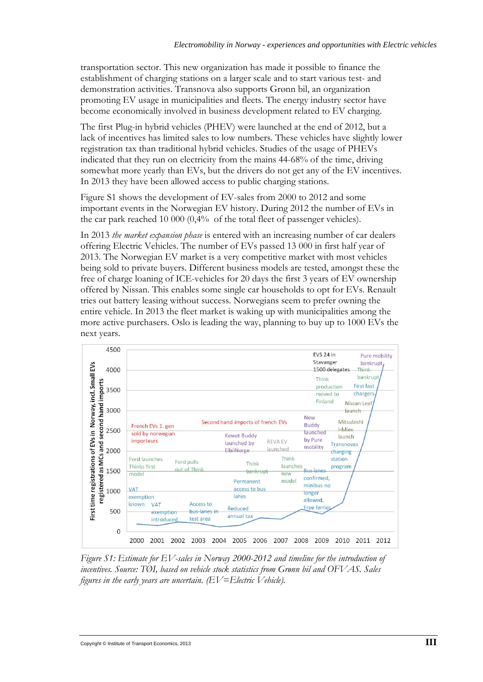transportation sector. This new organization has made it possible to finance the establishment of charging stations on a larger scale and to start various test- and demonstration activities. Transnova also supports Grønn bil, an organization promoting EV usage in municipalities and fleets. The energy industry sector have become economically involved in business development related to EV charging.

The first Plug-in hybrid vehicles (PHEV) were launched at the end of 2012, but a lack of incentives has limited sales to low numbers. These vehicles have slightly lower registration tax than traditional hybrid vehicles. Studies of the usage of PHEVs indicated that they run on electricity from the mains 44-68% of the time, driving somewhat more yearly than EVs, but the drivers do not get any of the EV incentives. In 2013 they have been allowed access to public charging stations.

Figure S1 shows the development of EV-sales from 2000 to 2012 and some important events in the Norwegian EV history. During 2012 the number of EVs in the car park reached 10 000 (0,4% of the total fleet of passenger vehicles).

In 2013 *the market expansion phase* is entered with an increasing number of car dealers offering Electric Vehicles. The number of EVs passed 13 000 in first half year of 2013. The Norwegian EV market is a very competitive market with most vehicles being sold to private buyers. Different business models are tested, amongst these the free of charge loaning of ICE-vehicles for 20 days the first 3 years of EV ownership offered by Nissan. This enables some single car households to opt for EVs. Renault tries out battery leasing without success. Norwegians seem to prefer owning the entire vehicle. In 2013 the fleet market is waking up with municipalities among the more active purchasers. Oslo is leading the way, planning to buy up to 1000 EVs the next years.



*Figure S1: Estimate for EV-sales in Norway 2000-2012 and timeline for the introduction of incentives. Source: TØI, based on vehicle stock statistics from Grønn bil and OFVAS. Sales figures in the early years are uncertain. (EV=Electric Vehicle).*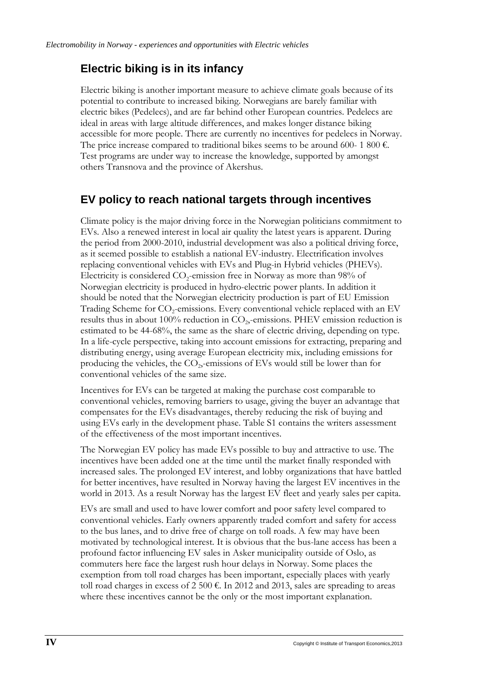#### **Electric biking is in its infancy**

Electric biking is another important measure to achieve climate goals because of its potential to contribute to increased biking. Norwegians are barely familiar with electric bikes (Pedelecs), and are far behind other European countries. Pedelecs are ideal in areas with large altitude differences, and makes longer distance biking accessible for more people. There are currently no incentives for pedelecs in Norway. The price increase compared to traditional bikes seems to be around 600- 1 800  $\epsilon$ . Test programs are under way to increase the knowledge, supported by amongst others Transnova and the province of Akershus.

#### **EV policy to reach national targets through incentives**

Climate policy is the major driving force in the Norwegian politicians commitment to EVs. Also a renewed interest in local air quality the latest years is apparent. During the period from 2000-2010, industrial development was also a political driving force, as it seemed possible to establish a national EV-industry. Electrification involves replacing conventional vehicles with EVs and Plug-in Hybrid vehicles (PHEVs). Electricity is considered  $CO<sub>2</sub>$ -emission free in Norway as more than 98% of Norwegian electricity is produced in hydro-electric power plants. In addition it should be noted that the Norwegian electricity production is part of EU Emission Trading Scheme for CO<sub>2</sub>-emissions. Every conventional vehicle replaced with an EV results thus in about 100% reduction in  $CO<sub>2</sub>$ -emissions. PHEV emission reduction is estimated to be 44-68%, the same as the share of electric driving, depending on type. In a life-cycle perspective, taking into account emissions for extracting, preparing and distributing energy, using average European electricity mix, including emissions for producing the vehicles, the CO<sub>2</sub>,-emissions of EVs would still be lower than for conventional vehicles of the same size.

Incentives for EVs can be targeted at making the purchase cost comparable to conventional vehicles, removing barriers to usage, giving the buyer an advantage that compensates for the EVs disadvantages, thereby reducing the risk of buying and using EVs early in the development phase. Table S1 contains the writers assessment of the effectiveness of the most important incentives.

The Norwegian EV policy has made EVs possible to buy and attractive to use. The incentives have been added one at the time until the market finally responded with increased sales. The prolonged EV interest, and lobby organizations that have battled for better incentives, have resulted in Norway having the largest EV incentives in the world in 2013. As a result Norway has the largest EV fleet and yearly sales per capita.

EVs are small and used to have lower comfort and poor safety level compared to conventional vehicles. Early owners apparently traded comfort and safety for access to the bus lanes, and to drive free of charge on toll roads. A few may have been motivated by technological interest. It is obvious that the bus-lane access has been a profound factor influencing EV sales in Asker municipality outside of Oslo, as commuters here face the largest rush hour delays in Norway. Some places the exemption from toll road charges has been important, especially places with yearly toll road charges in excess of 2 500  $\epsilon$ . In 2012 and 2013, sales are spreading to areas where these incentives cannot be the only or the most important explanation.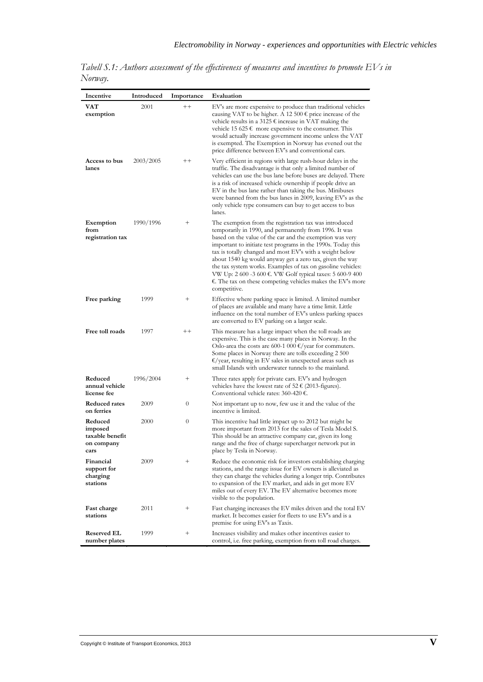| Incentive                                                   | Introduced | Importance         | Evaluation                                                                                                                                                                                                                                                                                                                                                                                                                                                                                                                                                                               |
|-------------------------------------------------------------|------------|--------------------|------------------------------------------------------------------------------------------------------------------------------------------------------------------------------------------------------------------------------------------------------------------------------------------------------------------------------------------------------------------------------------------------------------------------------------------------------------------------------------------------------------------------------------------------------------------------------------------|
| VAT<br>exemption                                            | 2001       | $^{++}$            | EV's are more expensive to produce than traditional vehicles<br>causing VAT to be higher. A 12 500 $\epsilon$ price increase of the<br>vehicle results in a 3125 € increase in VAT making the<br>vehicle 15 625 € more expensive to the consumer. This<br>would actually increase government income unless the VAT<br>is exempted. The Exemption in Norway has evened out the<br>price difference between EV's and conventional cars.                                                                                                                                                    |
| Access to bus<br>lanes                                      | 2003/2005  | $^{++}$            | Very efficient in regions with large rush-hour delays in the<br>traffic. The disadvantage is that only a limited number of<br>vehicles can use the bus lane before buses are delayed. There<br>is a risk of increased vehicle ownership if people drive an<br>EV in the bus lane rather than taking the bus. Minibuses<br>were banned from the bus lanes in 2009, leaving EV's as the<br>only vehicle type consumers can buy to get access to bus<br>lanes.                                                                                                                              |
| Exemption<br>from<br>registration tax                       | 1990/1996  | $^{+}$             | The exemption from the registration tax was introduced<br>temporarily in 1990, and permanently from 1996. It was<br>based on the value of the car and the exemption was very<br>important to initiate test programs in the 1990s. Today this<br>tax is totally changed and most EV's with a weight below<br>about 1540 kg would anyway get a zero tax, given the way<br>the tax system works. Examples of tax on gasoline vehicles:<br>VW Up: 2 600 -3 600 €. VW Golf typical taxes: 5 600-9 400<br>$\epsilon$ . The tax on these competing vehicles makes the EV's more<br>competitive. |
| Free parking                                                | 1999       | $\hspace{0.1mm} +$ | Effective where parking space is limited. A limited number<br>of places are available and many have a time limit. Little<br>influence on the total number of EV's unless parking spaces<br>are converted to EV parking on a larger scale.                                                                                                                                                                                                                                                                                                                                                |
| Free toll roads                                             | 1997       | $^+$               | This measure has a large impact when the toll roads are<br>expensive. This is the case many places in Norway. In the<br>Oslo-area the costs are 600-1 000 $\epsilon$ /year for commuters.<br>Some places in Norway there are tolls exceeding 2 500<br>$\epsilon$ /year, resulting in EV sales in unexpected areas such as<br>small Islands with underwater tunnels to the mainland.                                                                                                                                                                                                      |
| Reduced<br>annual vehicle<br>license fee                    | 1996/2004  | $^+$               | Three rates apply for private cars. EV's and hydrogen<br>vehicles have the lowest rate of 52 € (2013-figures).<br>Conventional vehicle rates: $360-420 \in$ .                                                                                                                                                                                                                                                                                                                                                                                                                            |
| <b>Reduced rates</b><br>on ferries                          | 2009       | 0                  | Not important up to now, few use it and the value of the<br>incentive is limited.                                                                                                                                                                                                                                                                                                                                                                                                                                                                                                        |
| Reduced<br>imposed<br>taxable benefit<br>on company<br>cars | 2000       | 0                  | This incentive had little impact up to 2012 but might be<br>more important from 2013 for the sales of Tesla Model S.<br>This should be an attractive company car, given its long<br>range and the free of charge supercharger network put in<br>place by Tesla in Norway.                                                                                                                                                                                                                                                                                                                |
| Financial<br>support for<br>charging<br>stations            | 2009       | $^+$               | Reduce the economic risk for investors establishing charging<br>stations, and the range issue for EV owners is alleviated as<br>they can charge the vehicles during a longer trip. Contributes<br>to expansion of the EV market, and aids in get more EV<br>miles out of every EV. The EV alternative becomes more<br>visible to the population.                                                                                                                                                                                                                                         |
| Fast charge<br>stations                                     | 2011       | $^{+}$             | Fast charging increases the EV miles driven and the total EV<br>market. It becomes easier for fleets to use EV's and is a<br>premise for using EV's as Taxis.                                                                                                                                                                                                                                                                                                                                                                                                                            |
| <b>Reserved EL</b><br>number plates                         | 1999       | $^{+}$             | Increases visibility and makes other incentives easier to<br>control, i.e. free parking, exemption from toll road charges.                                                                                                                                                                                                                                                                                                                                                                                                                                                               |

*Tabell S.1: Authors assessment of the effectiveness of measures and incentives to promote EVs in Norway.*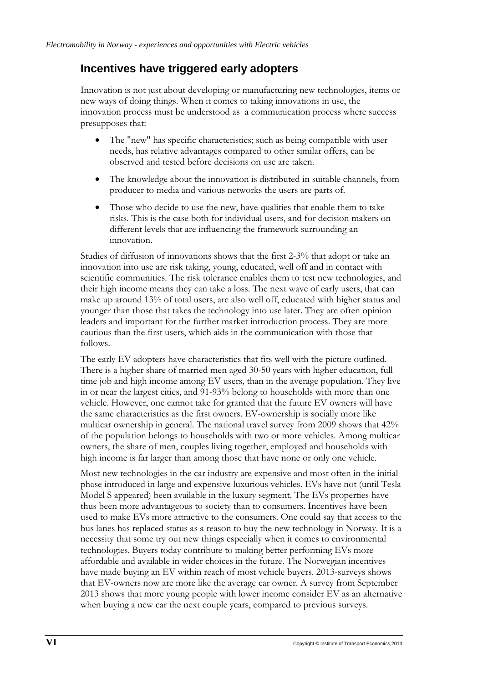# **Incentives have triggered early adopters**

Innovation is not just about developing or manufacturing new technologies, items or new ways of doing things. When it comes to taking innovations in use, the innovation process must be understood as a communication process where success presupposes that:

- The "new" has specific characteristics; such as being compatible with user needs, has relative advantages compared to other similar offers, can be observed and tested before decisions on use are taken.
- The knowledge about the innovation is distributed in suitable channels, from producer to media and various networks the users are parts of.
- Those who decide to use the new, have qualities that enable them to take risks. This is the case both for individual users, and for decision makers on different levels that are influencing the framework surrounding an innovation.

Studies of diffusion of innovations shows that the first 2-3% that adopt or take an innovation into use are risk taking, young, educated, well off and in contact with scientific communities. The risk tolerance enables them to test new technologies, and their high income means they can take a loss. The next wave of early users, that can make up around 13% of total users, are also well off, educated with higher status and younger than those that takes the technology into use later. They are often opinion leaders and important for the further market introduction process. They are more cautious than the first users, which aids in the communication with those that follows.

The early EV adopters have characteristics that fits well with the picture outlined. There is a higher share of married men aged 30-50 years with higher education, full time job and high income among EV users, than in the average population. They live in or near the largest cities, and 91-93% belong to households with more than one vehicle. However, one cannot take for granted that the future EV owners will have the same characteristics as the first owners. EV-ownership is socially more like multicar ownership in general. The national travel survey from 2009 shows that 42% of the population belongs to households with two or more vehicles. Among multicar owners, the share of men, couples living together, employed and households with high income is far larger than among those that have none or only one vehicle.

Most new technologies in the car industry are expensive and most often in the initial phase introduced in large and expensive luxurious vehicles. EVs have not (until Tesla Model S appeared) been available in the luxury segment. The EVs properties have thus been more advantageous to society than to consumers. Incentives have been used to make EVs more attractive to the consumers. One could say that access to the bus lanes has replaced status as a reason to buy the new technology in Norway. It is a necessity that some try out new things especially when it comes to environmental technologies. Buyers today contribute to making better performing EVs more affordable and available in wider choices in the future. The Norwegian incentives have made buying an EV within reach of most vehicle buyers. 2013-surveys shows that EV-owners now are more like the average car owner. A survey from September 2013 shows that more young people with lower income consider EV as an alternative when buying a new car the next couple years, compared to previous surveys.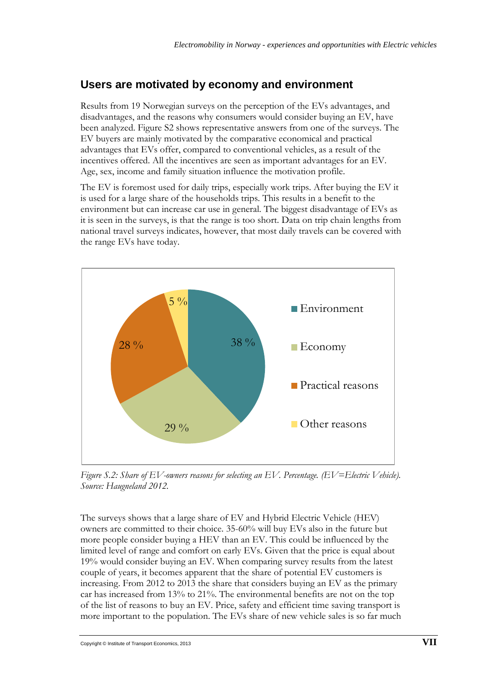# **Users are motivated by economy and environment**

Results from 19 Norwegian surveys on the perception of the EVs advantages, and disadvantages, and the reasons why consumers would consider buying an EV, have been analyzed. Figure S2 shows representative answers from one of the surveys. The EV buyers are mainly motivated by the comparative economical and practical advantages that EVs offer, compared to conventional vehicles, as a result of the incentives offered. All the incentives are seen as important advantages for an EV. Age, sex, income and family situation influence the motivation profile.

The EV is foremost used for daily trips, especially work trips. After buying the EV it is used for a large share of the households trips. This results in a benefit to the environment but can increase car use in general. The biggest disadvantage of EVs as it is seen in the surveys, is that the range is too short. Data on trip chain lengths from national travel surveys indicates, however, that most daily travels can be covered with the range EVs have today.



*Figure S.2: Share of EV-owners reasons for selecting an EV. Percentage. (EV=Electric Vehicle). Source: Haugneland 2012.*

The surveys shows that a large share of EV and Hybrid Electric Vehicle (HEV) owners are committed to their choice. 35-60% will buy EVs also in the future but more people consider buying a HEV than an EV. This could be influenced by the limited level of range and comfort on early EVs. Given that the price is equal about 19% would consider buying an EV. When comparing survey results from the latest couple of years, it becomes apparent that the share of potential EV customers is increasing. From 2012 to 2013 the share that considers buying an EV as the primary car has increased from 13% to 21%. The environmental benefits are not on the top of the list of reasons to buy an EV. Price, safety and efficient time saving transport is more important to the population. The EVs share of new vehicle sales is so far much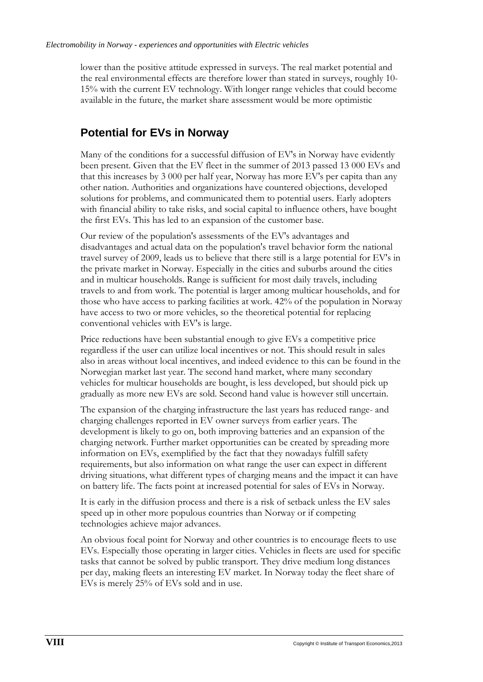lower than the positive attitude expressed in surveys. The real market potential and the real environmental effects are therefore lower than stated in surveys, roughly 10- 15% with the current EV technology. With longer range vehicles that could become available in the future, the market share assessment would be more optimistic

# **Potential for EVs in Norway**

Many of the conditions for a successful diffusion of EV's in Norway have evidently been present. Given that the EV fleet in the summer of 2013 passed 13 000 EVs and that this increases by 3 000 per half year, Norway has more EV's per capita than any other nation. Authorities and organizations have countered objections, developed solutions for problems, and communicated them to potential users. Early adopters with financial ability to take risks, and social capital to influence others, have bought the first EVs. This has led to an expansion of the customer base.

Our review of the population's assessments of the EV's advantages and disadvantages and actual data on the population's travel behavior form the national travel survey of 2009, leads us to believe that there still is a large potential for EV's in the private market in Norway. Especially in the cities and suburbs around the cities and in multicar households. Range is sufficient for most daily travels, including travels to and from work. The potential is larger among multicar households, and for those who have access to parking facilities at work. 42% of the population in Norway have access to two or more vehicles, so the theoretical potential for replacing conventional vehicles with EV's is large.

Price reductions have been substantial enough to give EVs a competitive price regardless if the user can utilize local incentives or not. This should result in sales also in areas without local incentives, and indeed evidence to this can be found in the Norwegian market last year. The second hand market, where many secondary vehicles for multicar households are bought, is less developed, but should pick up gradually as more new EVs are sold. Second hand value is however still uncertain.

The expansion of the charging infrastructure the last years has reduced range- and charging challenges reported in EV owner surveys from earlier years. The development is likely to go on, both improving batteries and an expansion of the charging network. Further market opportunities can be created by spreading more information on EVs, exemplified by the fact that they nowadays fulfill safety requirements, but also information on what range the user can expect in different driving situations, what different types of charging means and the impact it can have on battery life. The facts point at increased potential for sales of EVs in Norway.

It is early in the diffusion process and there is a risk of setback unless the EV sales speed up in other more populous countries than Norway or if competing technologies achieve major advances.

An obvious focal point for Norway and other countries is to encourage fleets to use EVs. Especially those operating in larger cities. Vehicles in fleets are used for specific tasks that cannot be solved by public transport. They drive medium long distances per day, making fleets an interesting EV market. In Norway today the fleet share of EVs is merely 25% of EVs sold and in use.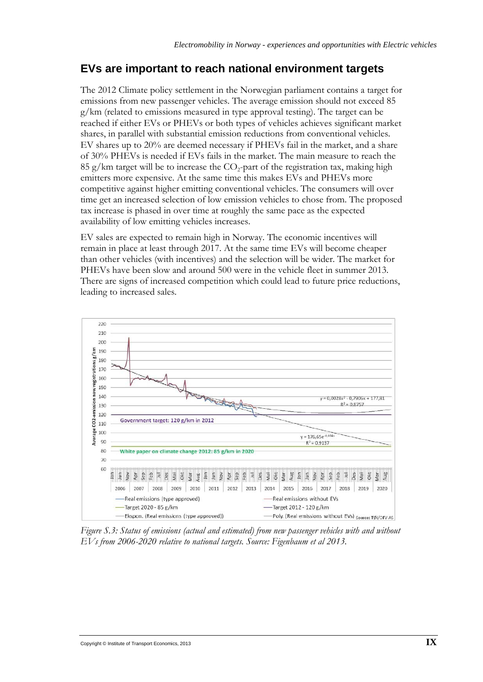## **EVs are important to reach national environment targets**

The 2012 Climate policy settlement in the Norwegian parliament contains a target for emissions from new passenger vehicles. The average emission should not exceed 85 g/km (related to emissions measured in type approval testing). The target can be reached if either EVs or PHEVs or both types of vehicles achieves significant market shares, in parallel with substantial emission reductions from conventional vehicles. EV shares up to 20% are deemed necessary if PHEVs fail in the market, and a share of 30% PHEVs is needed if EVs fails in the market. The main measure to reach the 85 g/km target will be to increase the  $CO_2$ -part of the registration tax, making high emitters more expensive. At the same time this makes EVs and PHEVs more competitive against higher emitting conventional vehicles. The consumers will over time get an increased selection of low emission vehicles to chose from. The proposed tax increase is phased in over time at roughly the same pace as the expected availability of low emitting vehicles increases.

EV sales are expected to remain high in Norway. The economic incentives will remain in place at least through 2017. At the same time EVs will become cheaper than other vehicles (with incentives) and the selection will be wider. The market for PHEVs have been slow and around 500 were in the vehicle fleet in summer 2013. There are signs of increased competition which could lead to future price reductions, leading to increased sales.



*Figure S.3: Status of emissions (actual and estimated) from new passenger vehicles with and without EVs from 2006-2020 relative to national targets. Source: Figenbaum et al 2013.*